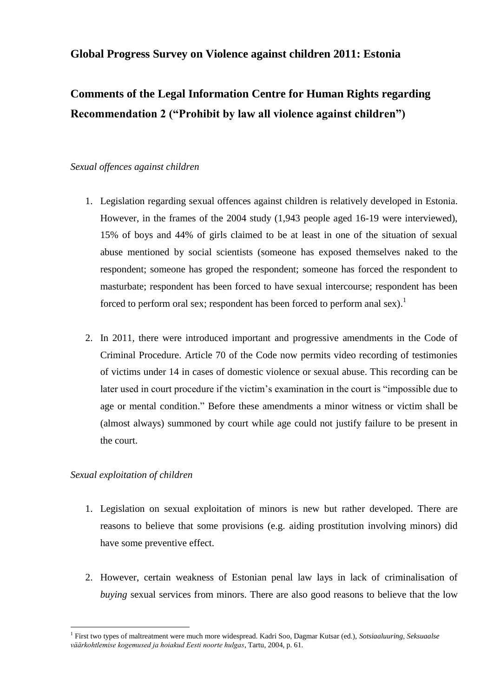## **Global Progress Survey on Violence against children 2011: Estonia**

# **Comments of the Legal Information Centre for Human Rights regarding Recommendation 2 ("Prohibit by law all violence against children")**

#### *Sexual offences against children*

- 1. Legislation regarding sexual offences against children is relatively developed in Estonia. However, in the frames of the 2004 study (1,943 people aged 16-19 were interviewed), 15% of boys and 44% of girls claimed to be at least in one of the situation of sexual abuse mentioned by social scientists (someone has exposed themselves naked to the respondent; someone has groped the respondent; someone has forced the respondent to masturbate; respondent has been forced to have sexual intercourse; respondent has been forced to perform oral sex; respondent has been forced to perform anal sex).<sup>1</sup>
- 2. In 2011, there were introduced important and progressive amendments in the Code of Criminal Procedure. Article 70 of the Code now permits video recording of testimonies of victims under 14 in cases of domestic violence or sexual abuse. This recording can be later used in court procedure if the victim's examination in the court is "impossible due to age or mental condition." Before these amendments a minor witness or victim shall be (almost always) summoned by court while age could not justify failure to be present in the court.

#### *Sexual exploitation of children*

- 1. Legislation on sexual exploitation of minors is new but rather developed. There are reasons to believe that some provisions (e.g. aiding prostitution involving minors) did have some preventive effect.
- 2. However, certain weakness of Estonian penal law lays in lack of criminalisation of *buying* sexual services from minors. There are also good reasons to believe that the low

 1 First two types of maltreatment were much more widespread. Kadri Soo, Dagmar Kutsar (ed.), *Sotsiaaluuring, Seksuaalse väärkohtlemise kogemused ja hoiakud Eesti noorte hulgas*, Tartu, 2004, p. 61.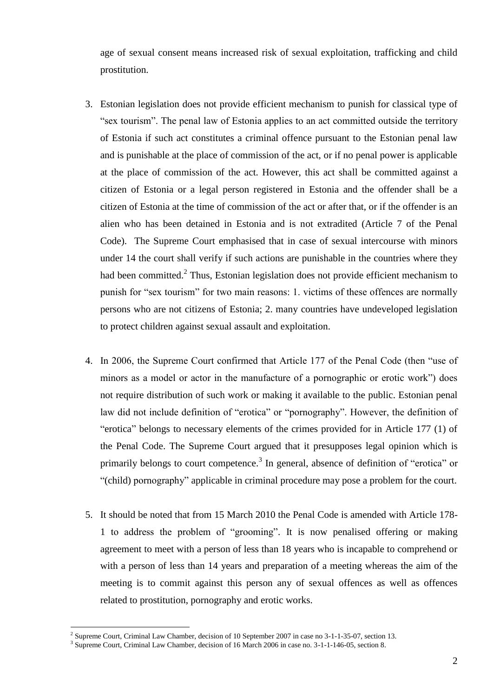age of sexual consent means increased risk of sexual exploitation, trafficking and child prostitution.

- 3. Estonian legislation does not provide efficient mechanism to punish for classical type of "sex tourism". The penal law of Estonia applies to an act committed outside the territory of Estonia if such act constitutes a criminal offence pursuant to the Estonian penal law and is punishable at the place of commission of the act, or if no penal power is applicable at the place of commission of the act. However, this act shall be committed against a citizen of Estonia or a legal person registered in Estonia and the offender shall be a citizen of Estonia at the time of commission of the act or after that, or if the offender is an alien who has been detained in Estonia and is not extradited (Article 7 of the Penal Code). The Supreme Court emphasised that in case of sexual intercourse with minors under 14 the court shall verify if such actions are punishable in the countries where they had been committed.<sup>2</sup> Thus, Estonian legislation does not provide efficient mechanism to punish for "sex tourism" for two main reasons: 1. victims of these offences are normally persons who are not citizens of Estonia; 2. many countries have undeveloped legislation to protect children against sexual assault and exploitation.
- 4. In 2006, the Supreme Court confirmed that Article 177 of the Penal Code (then "use of minors as a model or actor in the manufacture of a pornographic or erotic work") does not require distribution of such work or making it available to the public. Estonian penal law did not include definition of "erotica" or "pornography". However, the definition of "erotica" belongs to necessary elements of the crimes provided for in Article 177 (1) of the Penal Code. The Supreme Court argued that it presupposes legal opinion which is primarily belongs to court competence.<sup>3</sup> In general, absence of definition of "erotica" or "(child) pornography" applicable in criminal procedure may pose a problem for the court.
- 5. It should be noted that from 15 March 2010 the Penal Code is amended with Article 178- 1 to address the problem of "grooming". It is now penalised offering or making agreement to meet with a person of less than 18 years who is incapable to comprehend or with a person of less than 14 years and preparation of a meeting whereas the aim of the meeting is to commit against this person any of sexual offences as well as offences related to prostitution, pornography and erotic works.

<u>.</u>

<sup>2</sup> Supreme Court, Criminal Law Chamber, decision of 10 September 2007 in case no 3-1-1-35-07, section 13.

<sup>3</sup> Supreme Court, Criminal Law Chamber, decision of 16 March 2006 in case no. 3-1-1-146-05, section 8.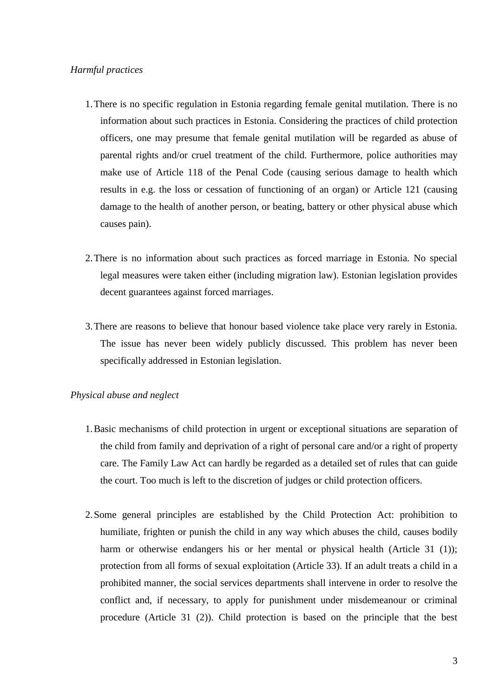#### *Harmful practices*

- 1.There is no specific regulation in Estonia regarding female genital mutilation. There is no information about such practices in Estonia. Considering the practices of child protection officers, one may presume that female genital mutilation will be regarded as abuse of parental rights and/or cruel treatment of the child. Furthermore, police authorities may make use of Article 118 of the Penal Code (causing serious damage to health which results in e.g. the loss or cessation of functioning of an organ) or Article 121 (causing damage to the health of another person, or beating, battery or other physical abuse which causes pain).
- 2.There is no information about such practices as forced marriage in Estonia. No special legal measures were taken either (including migration law). Estonian legislation provides decent guarantees against forced marriages.
- 3.There are reasons to believe that honour based violence take place very rarely in Estonia. The issue has never been widely publicly discussed. This problem has never been specifically addressed in Estonian legislation.

#### *Physical abuse and neglect*

- 1.Basic mechanisms of child protection in urgent or exceptional situations are separation of the child from family and deprivation of a right of personal care and/or a right of property care. The Family Law Act can hardly be regarded as a detailed set of rules that can guide the court. Too much is left to the discretion of judges or child protection officers.
- 2.Some general principles are established by the Child Protection Act: prohibition to humiliate, frighten or punish the child in any way which abuses the child, causes bodily harm or otherwise endangers his or her mental or physical health (Article 31 (1)); protection from all forms of sexual exploitation (Article 33). If an adult treats a child in a prohibited manner, the social services departments shall intervene in order to resolve the conflict and, if necessary, to apply for punishment under misdemeanour or criminal procedure (Article 31 (2)). Child protection is based on the principle that the best